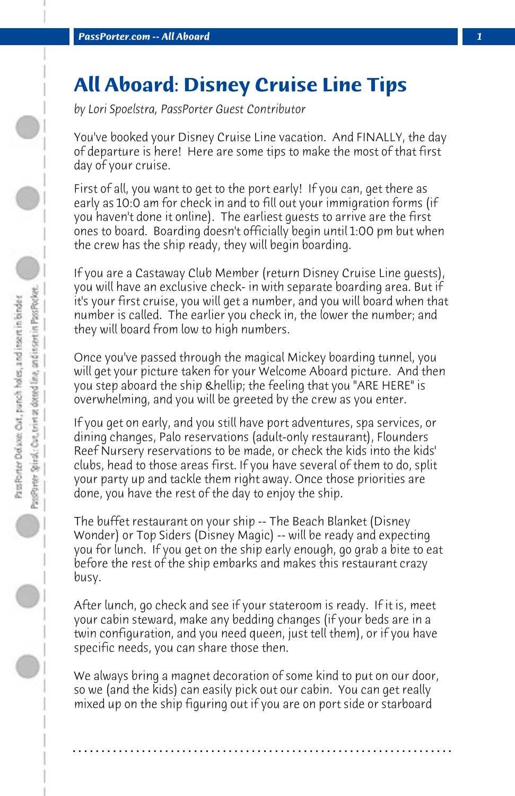## **All Aboard: Disney Cruise Line Tips**

*by Lori Spoelstra, PassPorter Guest Contributor*

You've booked your Disney Cruise Line vacation. And FINALLY, the day of departure is here! Here are some tips to make the most of that first day of your cruise.

First of all, you want to get to the port early! If you can, get there as early as 10:0 am for check in and to fill out your immigration forms (if you haven't done it online). The earliest guests to arrive are the first ones to board. Boarding doesn't officially begin until 1:00 pm but when the crew has the ship ready, they will begin boarding.

If you are a Castaway Club Member (return Disney Cruise Line guests), you will have an exclusive check- in with separate boarding area. But if it's your first cruise, you will get a number, and you will board when that number is called. The earlier you check in, the lower the number; and they will board from low to high numbers.

Once you've passed through the magical Mickey boarding tunnel, you will get your picture taken for your Welcome Aboard picture. And then you step aboard the ship … the feeling that you "ARE HERE" is overwhelming, and you will be greeted by the crew as you enter.

If you get on early, and you still have port adventures, spa services, or dining changes, Palo reservations (adult-only restaurant), Flounders Reef Nursery reservations to be made, or check the kids into the kids' clubs, head to those areas first. If you have several of them to do, split your party up and tackle them right away. Once those priorities are done, you have the rest of the day to enjoy the ship.

The buffet restaurant on your ship -- The Beach Blanket (Disney Wonder) or Top Siders (Disney Magic) -- will be ready and expecting you for lunch. If you get on the ship early enough, go grab a bite to eat before the rest of the ship embarks and makes this restaurant crazy busy.

After lunch, go check and see if your stateroom is ready. If it is, meet your cabin steward, make any bedding changes (if your beds are in a twin configuration, and you need queen, just tell them), or if you have specific needs, you can share those then.

We always bring a magnet decoration of some kind to put on our door, so we (and the kids) can easily pick out our cabin. You can get really mixed up on the ship figuring out if you are on port side or starboard

**. . . . . . . . . . . . . . . . . . . . . . . . . . . . . . . . . . . . . . . . . . . . . . . . . . . . . . . . . . . . . . . . . .**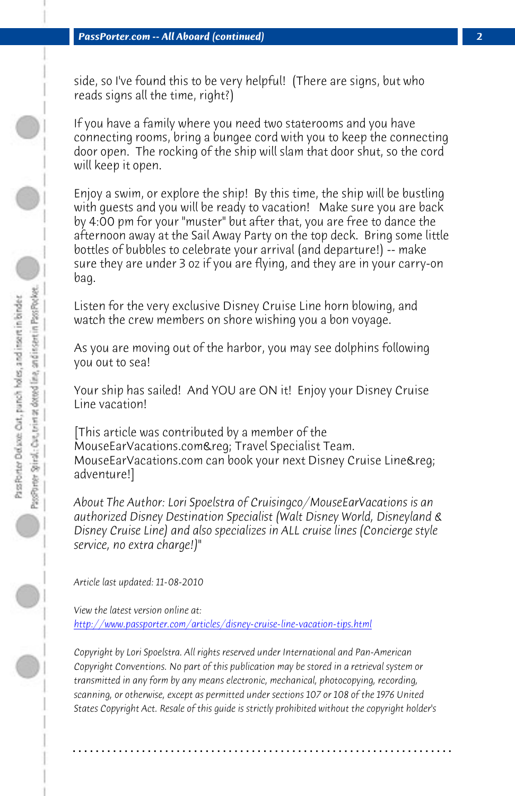*PassPorter.com -- All Aboard (continued) 2*

side, so I've found this to be very helpful! (There are signs, but who reads signs all the time, right?)

If you have a family where you need two staterooms and you have connecting rooms, bring a bungee cord with you to keep the connecting door open. The rocking of the ship will slam that door shut, so the cord will keep it open.

Enjoy a swim, or explore the ship! By this time, the ship will be bustling with guests and you will be ready to vacation! Make sure you are back by 4:00 pm for your "muster" but after that, you are free to dance the afternoon away at the Sail Away Party on the top deck. Bring some little bottles of bubbles to celebrate your arrival (and departure!) -- make sure they are under 3 oz if you are flying, and they are in your carry-on bag.

Listen for the very exclusive Disney Cruise Line horn blowing, and watch the crew members on shore wishing you a bon voyage.

As you are moving out of the harbor, you may see dolphins following you out to sea!

[Your ship has sailed! And YOU are ON it! Enjoy your Dis](http://www.passporter.com/articles/disney-cruise-line-vacation-tips.php)ney Cruise Line vacation!

[This article was contributed by a member of the MouseEarVacations.com&req; Travel Specialist Team. MouseEarVacations.com can book your next Disney Cruise Line&req; adventure!]

*About The Author: Lori Spoelstra of Cruisingco/MouseEarVacations is an authorized Disney Destination Specialist (Walt Disney World, Disneyland & Disney Cruise Line) and also specializes in ALL cruise lines (Concierge style service, no extra charge!)"*

*Article last updated: 11-08-2010*

*View the latest version online at: http://www.passporter.com/articles/disney-cruise-line-vacation-tips.html*

*Copyright by Lori Spoelstra. All rights reserved under International and Pan-American Copyright Conventions. No part of this publication may be stored in a retrieval system or transmitted in any form by any means electronic, mechanical, photocopying, recording, scanning, or otherwise, except as permitted under sections 107 or 108 of the 1976 United States Copyright Act. Resale of this guide is strictly prohibited without the copyright holder's*

**. . . . . . . . . . . . . . . . . . . . . . . . . . . . . . . . . . . . . . . . . . . . . . . . . . . . . . . . . . . . . . . . . .**